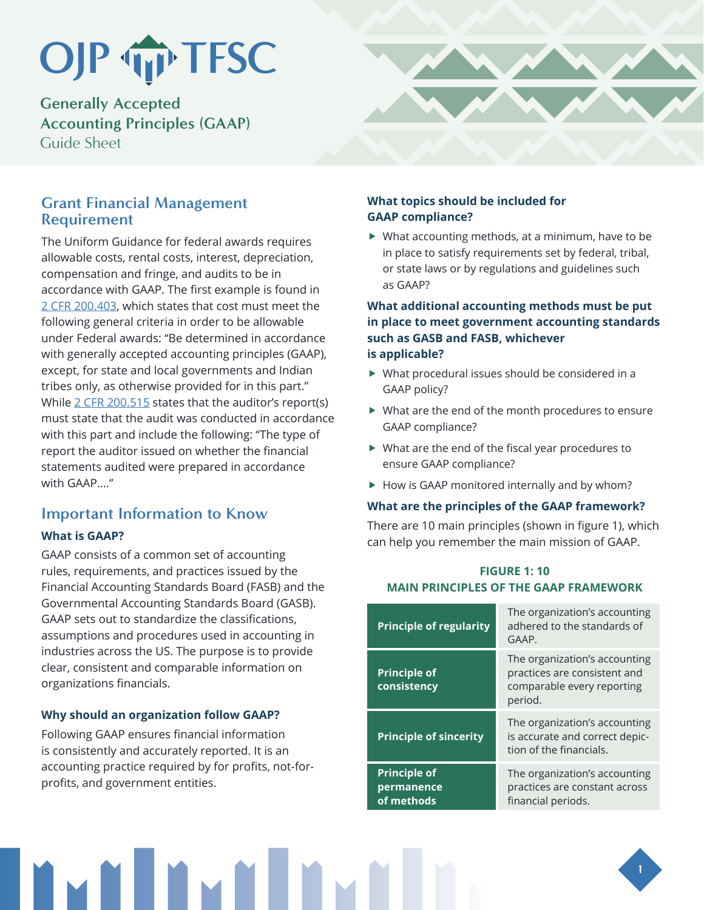# OJP TP TFSC

**Generally Accepted Accounting Principles (GAAP)** Guide Sheet

## **Grant Financial Management Requirement**

The Uniform Guidance for federal awards requires allowable costs, rental costs, interest, depreciation, compensation and fringe, and audits to be in accordance with GAAP. The first example is found in [2 CFR 200.403,](https://www.ecfr.gov/cgi-bin/retrieveECFR?gp=&SID=870db2718d81511f58f280c0fdc0957d&n=pt2.1.200&r=PART&ty=HTML#se2.1.200_1403) which states that cost must meet the following general criteria in order to be allowable under Federal awards: "Be determined in accordance with generally accepted accounting principles (GAAP), except, for state and local governments and Indian tribes only, as otherwise provided for in this part." While [2 CFR 200.515](https://www.ecfr.gov/cgi-bin/retrieveECFR?gp&SID=870db2718d81511f58f280c0fdc0957d&n=pt2.1.200&r=PART&ty=HTML&sp2.1.200.f#se2.1.200_1515) states that the auditor's report(s) must state that the audit was conducted in accordance with this part and include the following: "The type of report the auditor issued on whether the financial statements audited were prepared in accordance with GAAP..."

# **Important Information to Know**

## **What is GAAP?**

GAAP consists of a common set of accounting rules, requirements, and practices issued by the Financial Accounting Standards Board (FASB) and the Governmental Accounting Standards Board (GASB). GAAP sets out to standardize the classifications, assumptions and procedures used in accounting in industries across the US. The purpose is to provide clear, consistent and comparable information on organizations financials.

#### **Why should an organization follow GAAP?**

Following GAAP ensures financial information is consistently and accurately reported. It is an accounting practice required by for profits, not-forprofits, and government entities.

### **What topics should be included for GAAP compliance?**

 $\blacktriangleright$  What accounting methods, at a minimum, have to be in place to satisfy requirements set by federal, tribal, or state laws or by regulations and guidelines such as GAAP?

#### **What additional accounting methods must be put in place to meet government accounting standards such as GASB and FASB, whichever is applicable?**

- $\blacktriangleright$  What procedural issues should be considered in a GAAP policy?
- $\blacktriangleright$  What are the end of the month procedures to ensure GAAP compliance?
- $\blacktriangleright$  What are the end of the fiscal year procedures to ensure GAAP compliance?
- $\blacktriangleright$  How is GAAP monitored internally and by whom?

#### **What are the principles of the GAAP framework?**

There are 10 main principles (shown in figure 1), which can help you remember the main mission of GAAP.

## **FIGURE 1: 10 MAIN PRINCIPLES OF THE GAAP FRAMEWORK**

| <b>Principle of regularity</b>                  | The organization's accounting<br>adhered to the standards of<br>GAAP.                                  |
|-------------------------------------------------|--------------------------------------------------------------------------------------------------------|
| <b>Principle of</b><br>consistency              | The organization's accounting<br>practices are consistent and<br>comparable every reporting<br>period. |
| <b>Principle of sincerity</b>                   | The organization's accounting<br>is accurate and correct depic-<br>tion of the financials.             |
| <b>Principle of</b><br>permanence<br>of methods | The organization's accounting<br>practices are constant across<br>financial periods.                   |

**1**